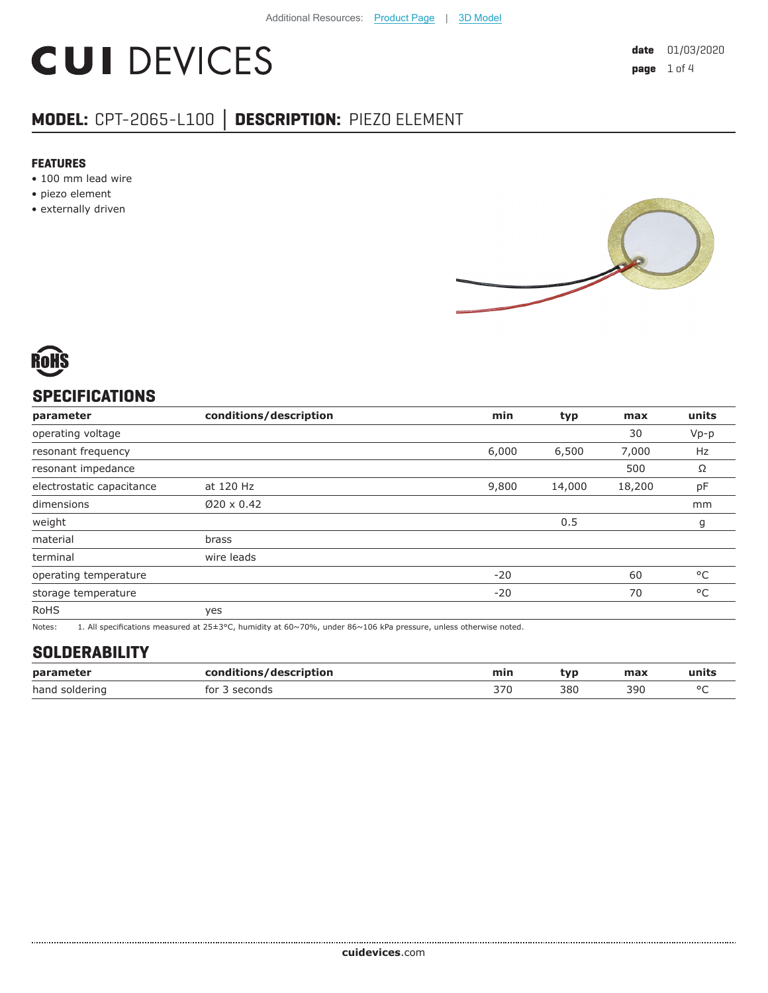# **CUI DEVICES**

## **MODEL:** CPT-2065-L100 **│ DESCRIPTION:** PIEZO ELEMENT

#### **FEATURES**

- 100 mm lead wire
- piezo element
- externally driven





### **SPECIFICATIONS**

| parameter                 | conditions/description | min   | typ    | max    | units  |
|---------------------------|------------------------|-------|--------|--------|--------|
| operating voltage         |                        |       |        | 30     | $Vp-p$ |
| resonant frequency        |                        | 6,000 | 6,500  | 7,000  | Hz     |
| resonant impedance        |                        |       |        | 500    | Ω      |
| electrostatic capacitance | at 120 Hz              | 9,800 | 14,000 | 18,200 | pF     |
| dimensions                | $Ø20 \times 0.42$      |       |        |        | mm     |
| weight                    |                        |       | 0.5    |        | g      |
| material                  | brass                  |       |        |        |        |
| terminal                  | wire leads             |       |        |        |        |
| operating temperature     |                        | $-20$ |        | 60     | °C     |
| storage temperature       |                        | $-20$ |        | 70     | °C     |
| <b>RoHS</b>               | yes                    |       |        |        |        |

Notes: 1. All specifications measured at 25±3°C, humidity at 60~70%, under 86~106 kPa pressure, unless otherwise noted.

## **SOLDERABILITY**

| parameter      | conditions/description | min | tvn | max | чшь    |
|----------------|------------------------|-----|-----|-----|--------|
| hand soldering | tor<br>`seconu…        | 370 | 380 | 390 | $\sim$ |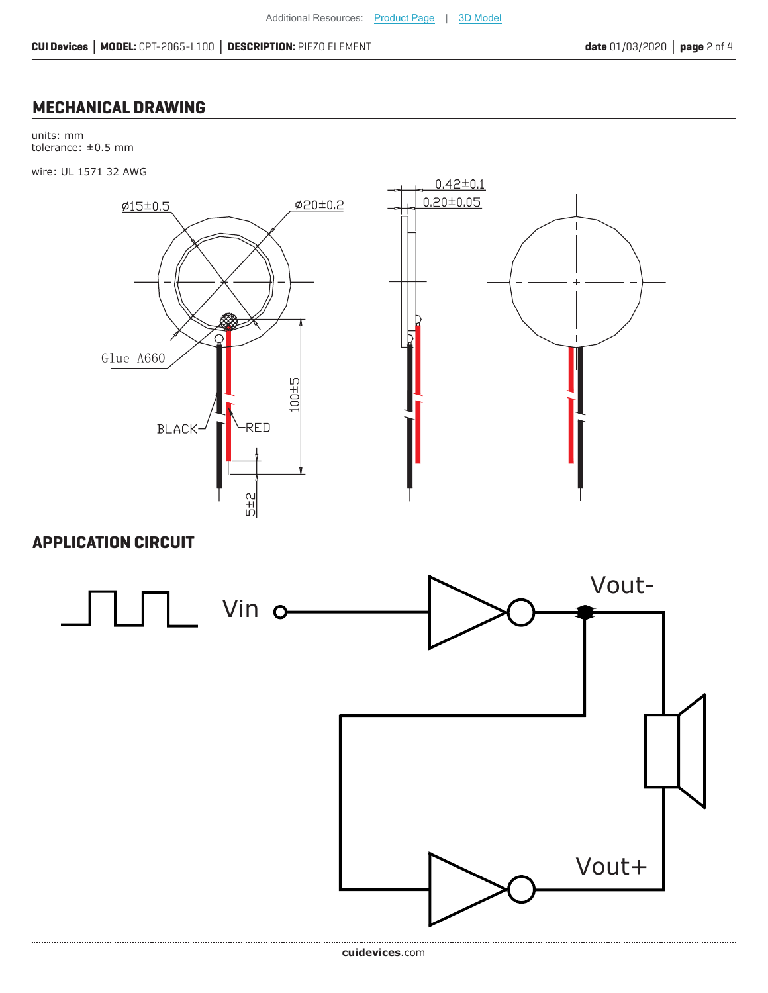### **MECHANICAL DRAWING**

units: mm tolerance: ±0.5 mm

wire: UL 1571 32 AWG



#### **APPLICATION CIRCUIT**

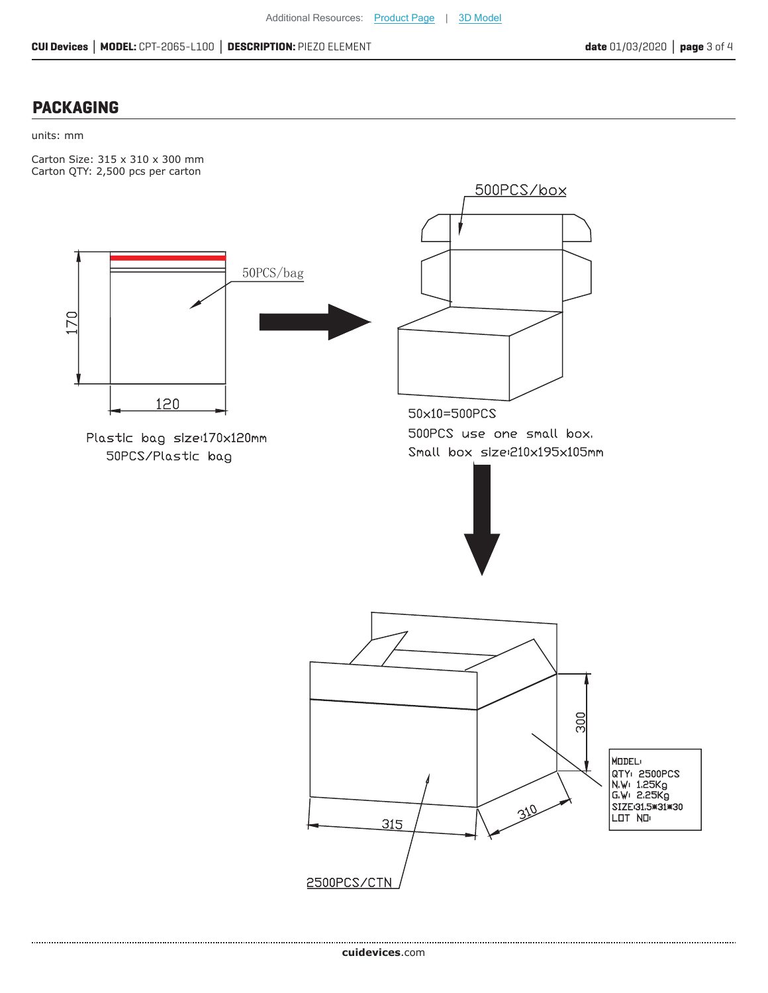#### **PACKAGING**

#### units: mm

Carton Size: 315 x 310 x 300 mm Carton QTY: 2,500 pcs per carton